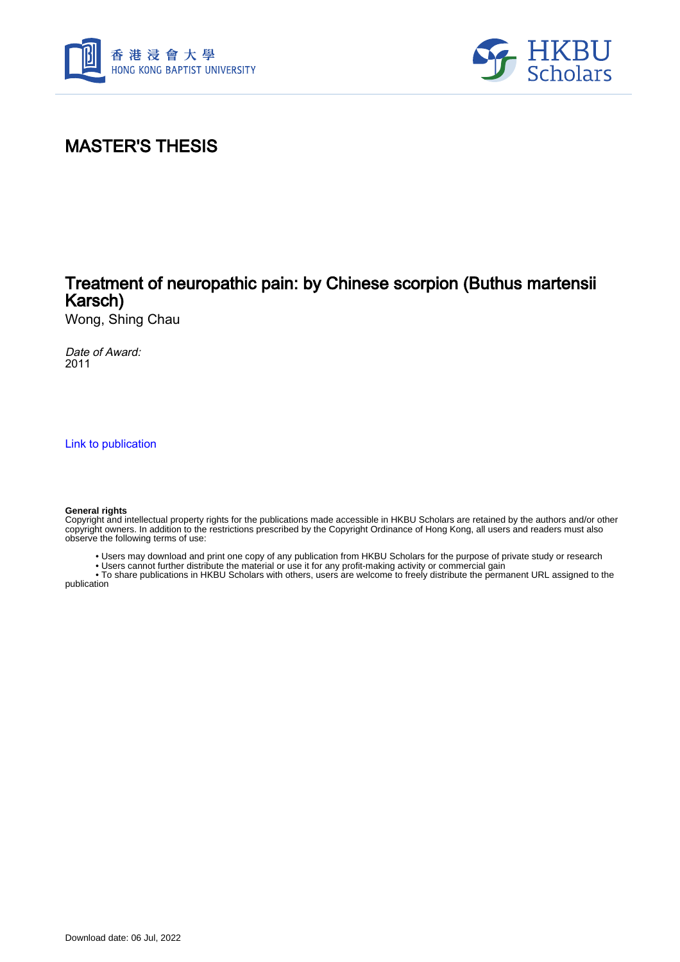



# MASTER'S THESIS

## Treatment of neuropathic pain: by Chinese scorpion (Buthus martensii Karsch)

Wong, Shing Chau

Date of Award: 2011

[Link to publication](https://scholars.hkbu.edu.hk/en/studentTheses/5e32599a-b72d-4eb0-8582-b0ee4ab041fa)

#### **General rights**

Copyright and intellectual property rights for the publications made accessible in HKBU Scholars are retained by the authors and/or other copyright owners. In addition to the restrictions prescribed by the Copyright Ordinance of Hong Kong, all users and readers must also observe the following terms of use:

- Users may download and print one copy of any publication from HKBU Scholars for the purpose of private study or research
- Users cannot further distribute the material or use it for any profit-making activity or commercial gain

 • To share publications in HKBU Scholars with others, users are welcome to freely distribute the permanent URL assigned to the publication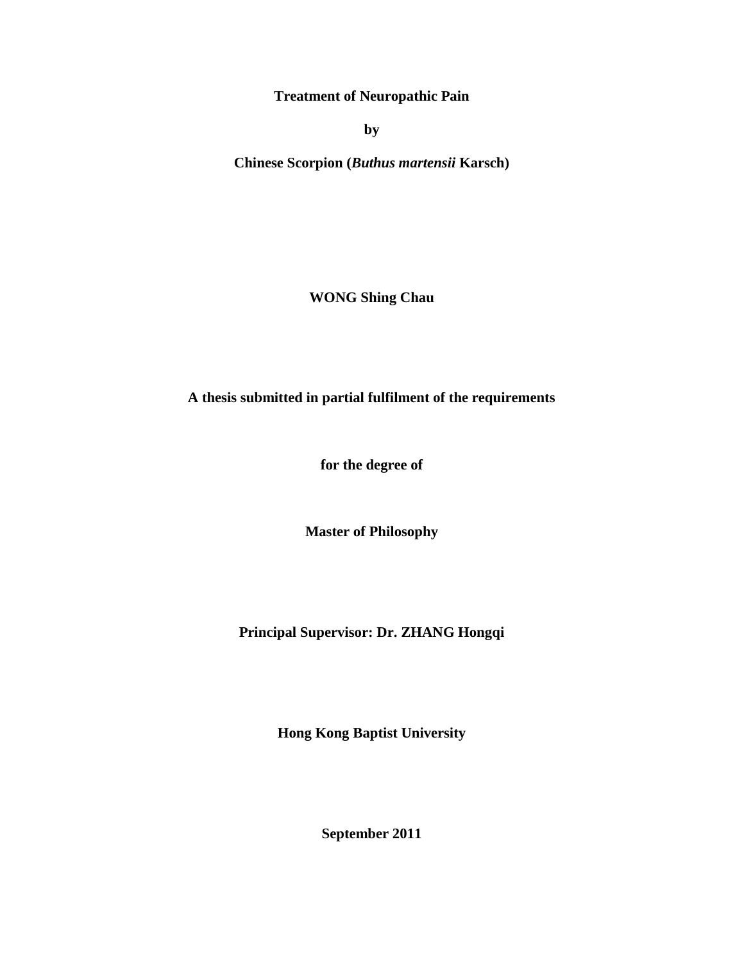**Treatment of Neuropathic Pain** 

**by** 

**Chinese Scorpion (***Buthus martensii* **Karsch)**

**WONG Shing Chau**

**A thesis submitted in partial fulfilment of the requirements**

**for the degree of** 

**Master of Philosophy**

**Principal Supervisor: Dr. ZHANG Hongqi**

**Hong Kong Baptist University**

**September 2011**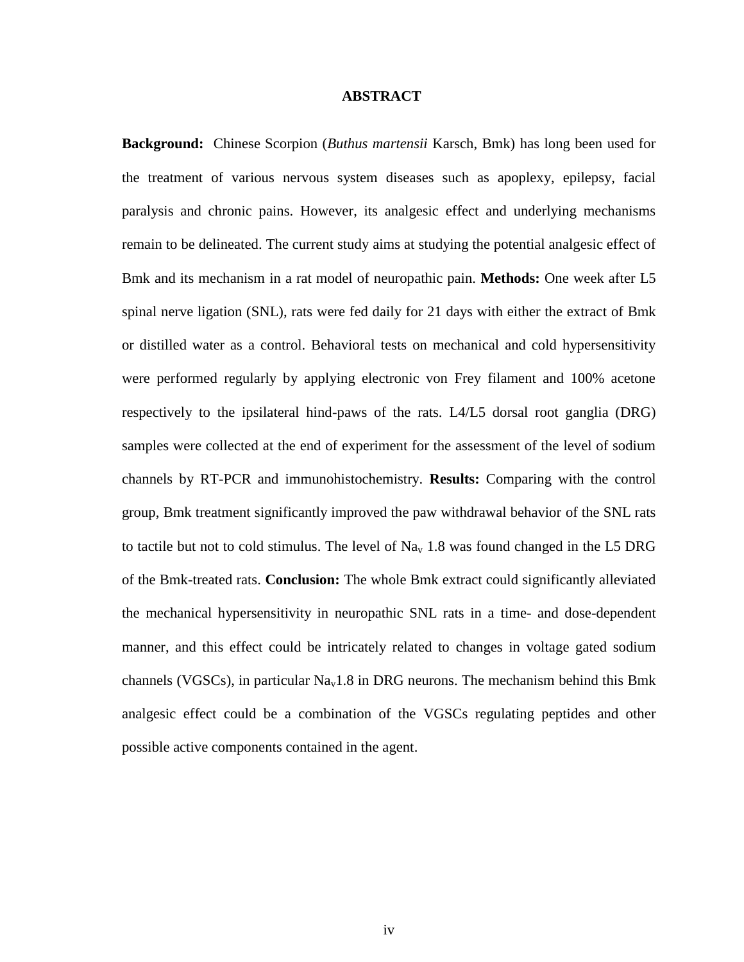### **ABSTRACT**

<span id="page-2-0"></span>**Background:** Chinese Scorpion (*Buthus martensii* Karsch, Bmk) has long been used for the treatment of various nervous system diseases such as apoplexy, epilepsy, facial paralysis and chronic pains. However, its analgesic effect and underlying mechanisms remain to be delineated. The current study aims at studying the potential analgesic effect of Bmk and its mechanism in a rat model of neuropathic pain. **Methods:** One week after L5 spinal nerve ligation (SNL), rats were fed daily for 21 days with either the extract of Bmk or distilled water as a control. Behavioral tests on mechanical and cold hypersensitivity were performed regularly by applying electronic von Frey filament and 100% acetone respectively to the ipsilateral hind-paws of the rats. L4/L5 dorsal root ganglia (DRG) samples were collected at the end of experiment for the assessment of the level of sodium channels by RT-PCR and immunohistochemistry. **Results:** Comparing with the control group, Bmk treatment significantly improved the paw withdrawal behavior of the SNL rats to tactile but not to cold stimulus. The level of  $\text{Na}_{v}$  1.8 was found changed in the L5 DRG of the Bmk-treated rats. **Conclusion:** The whole Bmk extract could significantly alleviated the mechanical hypersensitivity in neuropathic SNL rats in a time- and dose-dependent manner, and this effect could be intricately related to changes in voltage gated sodium channels (VGSCs), in particular  $Na<sub>v</sub>1.8$  in DRG neurons. The mechanism behind this Bmk analgesic effect could be a combination of the VGSCs regulating peptides and other possible active components contained in the agent.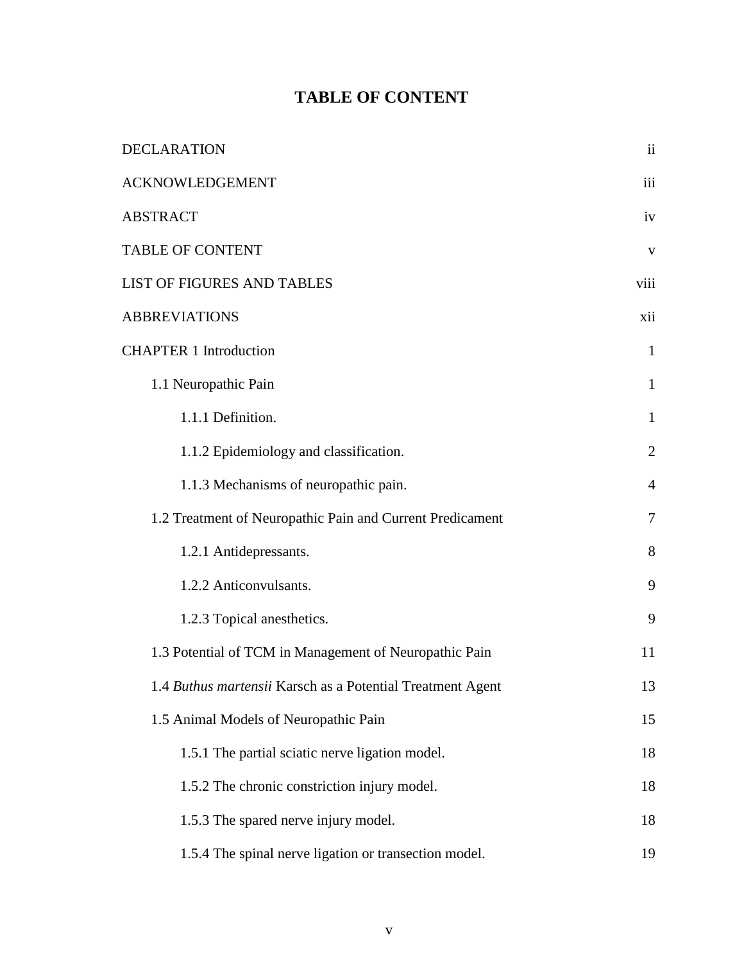### **TABLE OF CONTENT**

<span id="page-3-0"></span>

| DECLARATION                                                | $\overline{\mathbf{ii}}$ |
|------------------------------------------------------------|--------------------------|
| <b>ACKNOWLEDGEMENT</b>                                     | iii                      |
| <b>ABSTRACT</b>                                            | iv                       |
| <b>TABLE OF CONTENT</b>                                    | V                        |
| LIST OF FIGURES AND TABLES                                 | viii                     |
| <b>ABBREVIATIONS</b>                                       | xii                      |
| <b>CHAPTER 1 Introduction</b>                              | $\mathbf{1}$             |
| 1.1 Neuropathic Pain                                       | $\mathbf{1}$             |
| 1.1.1 Definition.                                          | $\mathbf{1}$             |
| 1.1.2 Epidemiology and classification.                     | $\overline{2}$           |
| 1.1.3 Mechanisms of neuropathic pain.                      | 4                        |
| 1.2 Treatment of Neuropathic Pain and Current Predicament  | $\overline{7}$           |
| 1.2.1 Antidepressants.                                     | 8                        |
| 1.2.2 Anticonvulsants.                                     | 9                        |
| 1.2.3 Topical anesthetics.                                 | 9                        |
| 1.3 Potential of TCM in Management of Neuropathic Pain     | 11                       |
| 1.4 Buthus martensii Karsch as a Potential Treatment Agent | 13                       |
| 1.5 Animal Models of Neuropathic Pain                      | 15                       |
| 1.5.1 The partial sciatic nerve ligation model.            | 18                       |
| 1.5.2 The chronic constriction injury model.               | 18                       |
| 1.5.3 The spared nerve injury model.                       | 18                       |
| 1.5.4 The spinal nerve ligation or transection model.      | 19                       |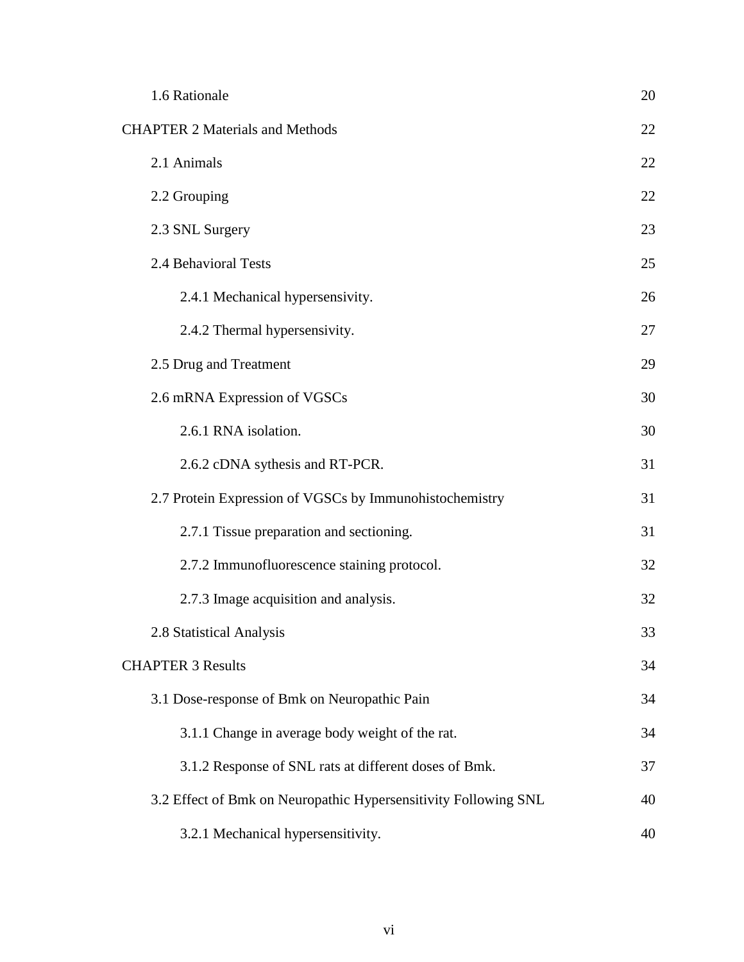| 1.6 Rationale                                                   | 20 |
|-----------------------------------------------------------------|----|
| <b>CHAPTER 2 Materials and Methods</b>                          | 22 |
| 2.1 Animals                                                     | 22 |
| 2.2 Grouping                                                    | 22 |
| 2.3 SNL Surgery                                                 | 23 |
| 2.4 Behavioral Tests                                            | 25 |
| 2.4.1 Mechanical hypersensivity.                                | 26 |
| 2.4.2 Thermal hypersensivity.                                   | 27 |
| 2.5 Drug and Treatment                                          | 29 |
| 2.6 mRNA Expression of VGSCs                                    | 30 |
| 2.6.1 RNA isolation.                                            | 30 |
| 2.6.2 cDNA sythesis and RT-PCR.                                 | 31 |
| 2.7 Protein Expression of VGSCs by Immunohistochemistry         | 31 |
| 2.7.1 Tissue preparation and sectioning.                        | 31 |
| 2.7.2 Immunofluorescence staining protocol.                     | 32 |
| 2.7.3 Image acquisition and analysis.                           | 32 |
| 2.8 Statistical Analysis                                        | 33 |
| <b>CHAPTER 3 Results</b>                                        | 34 |
| 3.1 Dose-response of Bmk on Neuropathic Pain                    | 34 |
| 3.1.1 Change in average body weight of the rat.                 | 34 |
| 3.1.2 Response of SNL rats at different doses of Bmk.           | 37 |
| 3.2 Effect of Bmk on Neuropathic Hypersensitivity Following SNL | 40 |
| 3.2.1 Mechanical hypersensitivity.                              | 40 |